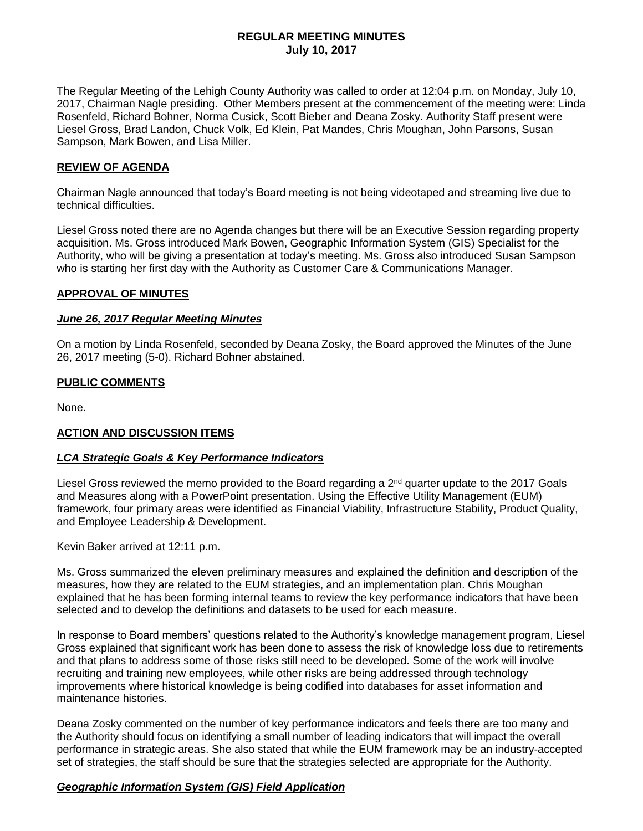### **REGULAR MEETING MINUTES July 10, 2017**

The Regular Meeting of the Lehigh County Authority was called to order at 12:04 p.m. on Monday, July 10, 2017, Chairman Nagle presiding. Other Members present at the commencement of the meeting were: Linda Rosenfeld, Richard Bohner, Norma Cusick, Scott Bieber and Deana Zosky. Authority Staff present were Liesel Gross, Brad Landon, Chuck Volk, Ed Klein, Pat Mandes, Chris Moughan, John Parsons, Susan Sampson, Mark Bowen, and Lisa Miller.

### **REVIEW OF AGENDA**

Chairman Nagle announced that today's Board meeting is not being videotaped and streaming live due to technical difficulties.

Liesel Gross noted there are no Agenda changes but there will be an Executive Session regarding property acquisition. Ms. Gross introduced Mark Bowen, Geographic Information System (GIS) Specialist for the Authority, who will be giving a presentation at today's meeting. Ms. Gross also introduced Susan Sampson who is starting her first day with the Authority as Customer Care & Communications Manager.

#### **APPROVAL OF MINUTES**

#### *June 26, 2017 Regular Meeting Minutes*

On a motion by Linda Rosenfeld, seconded by Deana Zosky, the Board approved the Minutes of the June 26, 2017 meeting (5-0). Richard Bohner abstained.

#### **PUBLIC COMMENTS**

None.

### **ACTION AND DISCUSSION ITEMS**

#### *LCA Strategic Goals & Key Performance Indicators*

Liesel Gross reviewed the memo provided to the Board regarding a 2<sup>nd</sup> quarter update to the 2017 Goals and Measures along with a PowerPoint presentation. Using the Effective Utility Management (EUM) framework, four primary areas were identified as Financial Viability, Infrastructure Stability, Product Quality, and Employee Leadership & Development.

Kevin Baker arrived at 12:11 p.m.

Ms. Gross summarized the eleven preliminary measures and explained the definition and description of the measures, how they are related to the EUM strategies, and an implementation plan. Chris Moughan explained that he has been forming internal teams to review the key performance indicators that have been selected and to develop the definitions and datasets to be used for each measure.

In response to Board members' questions related to the Authority's knowledge management program, Liesel Gross explained that significant work has been done to assess the risk of knowledge loss due to retirements and that plans to address some of those risks still need to be developed. Some of the work will involve recruiting and training new employees, while other risks are being addressed through technology improvements where historical knowledge is being codified into databases for asset information and maintenance histories.

Deana Zosky commented on the number of key performance indicators and feels there are too many and the Authority should focus on identifying a small number of leading indicators that will impact the overall performance in strategic areas. She also stated that while the EUM framework may be an industry-accepted set of strategies, the staff should be sure that the strategies selected are appropriate for the Authority.

### *Geographic Information System (GIS) Field Application*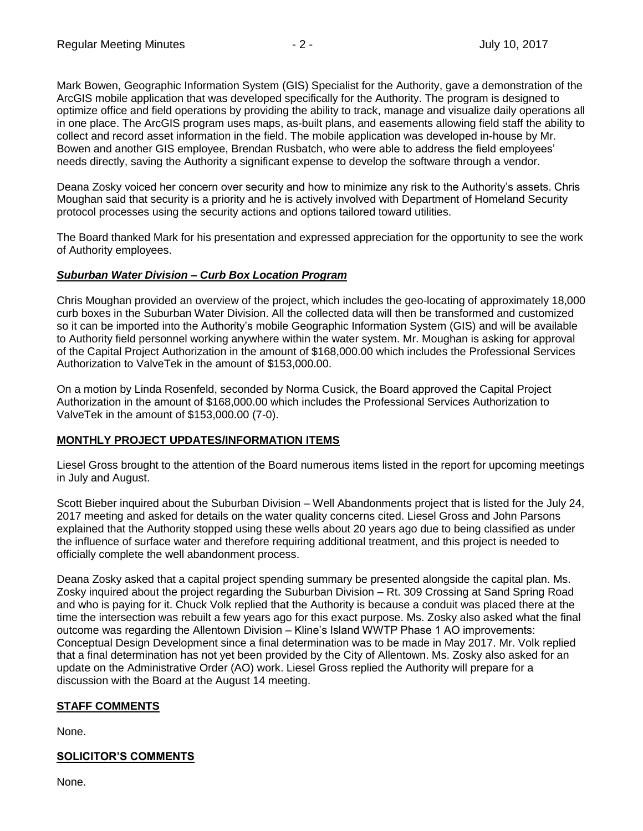Mark Bowen, Geographic Information System (GIS) Specialist for the Authority, gave a demonstration of the ArcGIS mobile application that was developed specifically for the Authority. The program is designed to optimize office and field operations by providing the ability to track, manage and visualize daily operations all in one place. The ArcGIS program uses maps, as-built plans, and easements allowing field staff the ability to collect and record asset information in the field. The mobile application was developed in-house by Mr. Bowen and another GIS employee, Brendan Rusbatch, who were able to address the field employees' needs directly, saving the Authority a significant expense to develop the software through a vendor.

Deana Zosky voiced her concern over security and how to minimize any risk to the Authority's assets. Chris Moughan said that security is a priority and he is actively involved with Department of Homeland Security protocol processes using the security actions and options tailored toward utilities.

The Board thanked Mark for his presentation and expressed appreciation for the opportunity to see the work of Authority employees.

### *Suburban Water Division – Curb Box Location Program*

Chris Moughan provided an overview of the project, which includes the geo-locating of approximately 18,000 curb boxes in the Suburban Water Division. All the collected data will then be transformed and customized so it can be imported into the Authority's mobile Geographic Information System (GIS) and will be available to Authority field personnel working anywhere within the water system. Mr. Moughan is asking for approval of the Capital Project Authorization in the amount of \$168,000.00 which includes the Professional Services Authorization to ValveTek in the amount of \$153,000.00.

On a motion by Linda Rosenfeld, seconded by Norma Cusick, the Board approved the Capital Project Authorization in the amount of \$168,000.00 which includes the Professional Services Authorization to ValveTek in the amount of \$153,000.00 (7-0).

### **MONTHLY PROJECT UPDATES/INFORMATION ITEMS**

Liesel Gross brought to the attention of the Board numerous items listed in the report for upcoming meetings in July and August.

Scott Bieber inquired about the Suburban Division – Well Abandonments project that is listed for the July 24, 2017 meeting and asked for details on the water quality concerns cited. Liesel Gross and John Parsons explained that the Authority stopped using these wells about 20 years ago due to being classified as under the influence of surface water and therefore requiring additional treatment, and this project is needed to officially complete the well abandonment process.

Deana Zosky asked that a capital project spending summary be presented alongside the capital plan. Ms. Zosky inquired about the project regarding the Suburban Division – Rt. 309 Crossing at Sand Spring Road and who is paying for it. Chuck Volk replied that the Authority is because a conduit was placed there at the time the intersection was rebuilt a few years ago for this exact purpose. Ms. Zosky also asked what the final outcome was regarding the Allentown Division – Kline's Island WWTP Phase 1 AO improvements: Conceptual Design Development since a final determination was to be made in May 2017. Mr. Volk replied that a final determination has not yet been provided by the City of Allentown. Ms. Zosky also asked for an update on the Administrative Order (AO) work. Liesel Gross replied the Authority will prepare for a discussion with the Board at the August 14 meeting.

# **STAFF COMMENTS**

None.

# **SOLICITOR'S COMMENTS**

None.